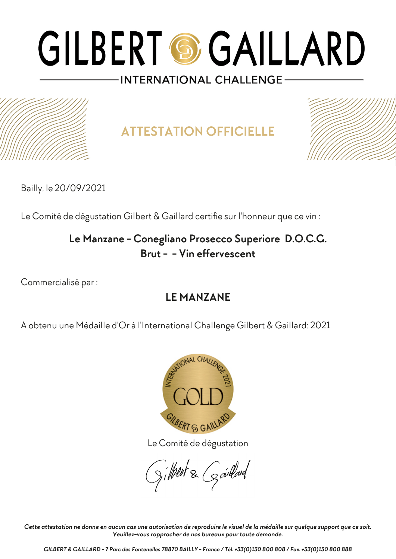

**ATTESTATION OFFICIELLE**



Bailly, le 20/09/2021

Le Comité de dégustation Gilbert & Gaillard certifie sur l'honneur que ce vin :

### **Le Manzane - Conegliano Prosecco Superiore D.O.C.G. Brut - - Vin effervescent**

Commercialisé par :

### **LE MANZANE**

A obtenu une Médaille d'Or à l'International Challenge Gilbert & Gaillard: 2021



Le Comité de dégustation

gilbert & Garlard

*Cette attestation ne donne en aucun cas une autorisation de reproduire le visuel de la médaille sur quelque support que ce soit. Veuillez-vous rapprocher de nos bureaux pour toute demande.*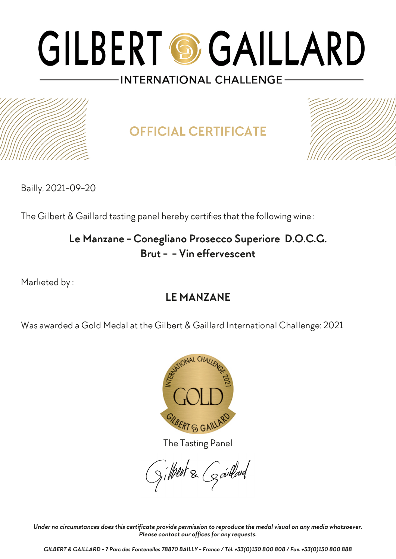

**OFFICIAL CERTIFICATE**



Bailly, 2021-09-20

The Gilbert & Gaillard tasting panel hereby certifies that the following wine :

### **Le Manzane - Conegliano Prosecco Superiore D.O.C.G. Brut - - Vin effervescent**

Marketed by :

### **LE MANZANE**

Was awarded a Gold Medal at the Gilbert & Gaillard International Challenge: 2021



The Tasting Panel

gilbert & Gardard

*Under no circumstances does this certificate provide permission to reproduce the medal visual on any media whatsoever. Please contact our offices for any requests.*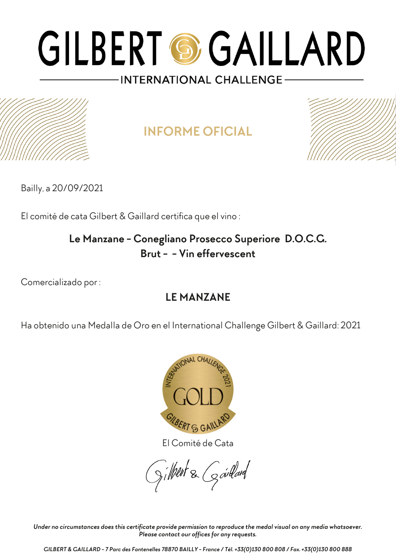## **INFORME OFICIAL**



Bailly, a 20/09/2021

El comité de cata Gilbert & Gaillard certifica que el vino :

### **Le Manzane - Conegliano Prosecco Superiore D.O.C.G. Brut - - Vin effervescent**

Comercializado por :

### **LE MANZANE**

Ha obtenido una Medalla de Oro en el International Challenge Gilbert & Gaillard: 2021



El Comité de Cata

gilbert & Goullard

*Under no circumstances does this certificate provide permission to reproduce the medal visual on any media whatsoever. Please contact our offices for any requests.*